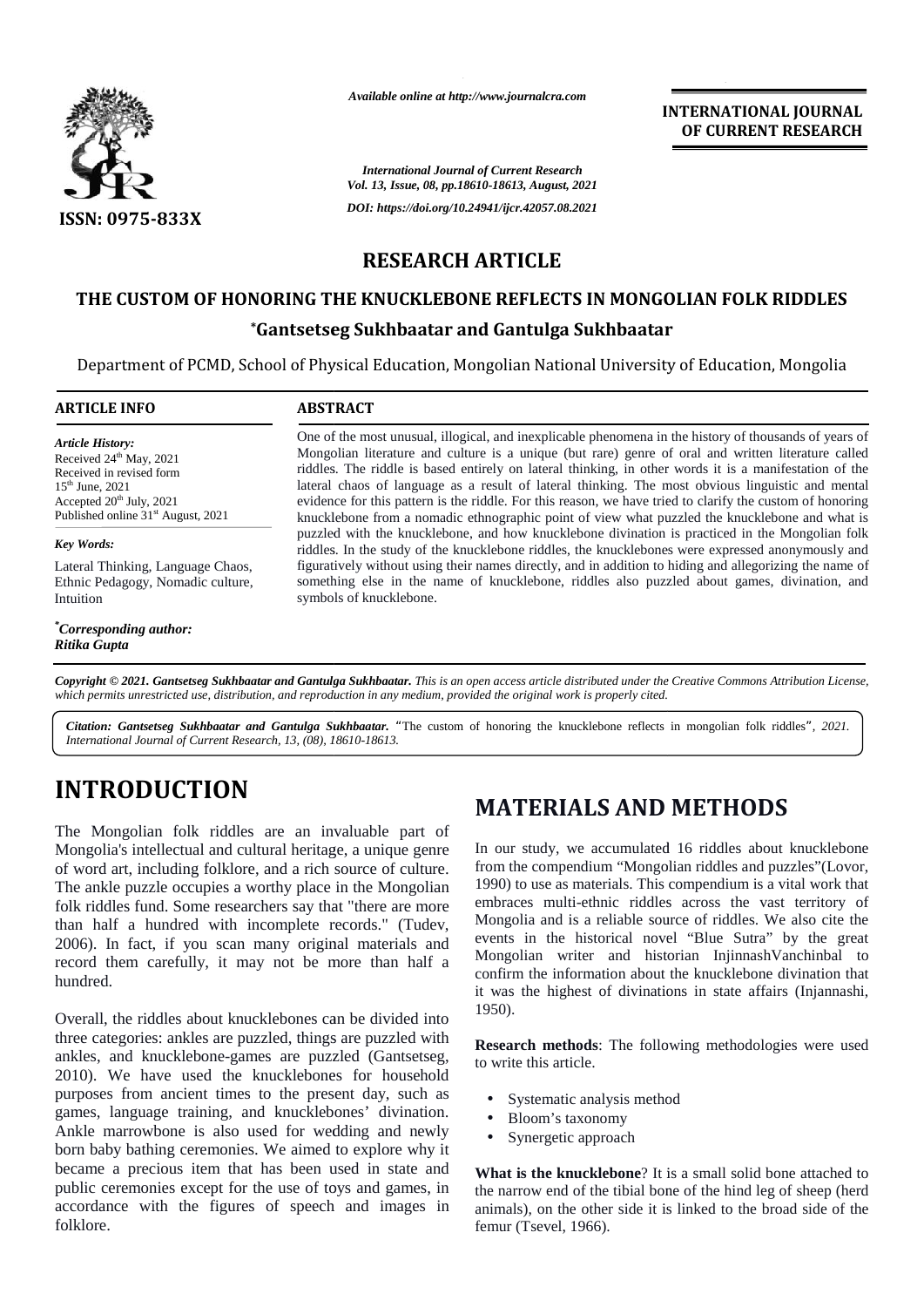

*Available online at http://www.journalcra.com*

**INTERNATIONAL JOURNAL OF CURRENT RESEARCH**

*International Journal of Current Research Vol. 13, Issue, 08, pp.18610-18613, August, 2021 DOI: https://doi.org/10.24941/ijcr.42057.08.2021*

### **RESEARCH ARTICLE RESEARCH**

### **THE CUSTOM OF HONORING THE KNUCKLEBONE REFLECTS IN MONGOLIAN FOLK RIDDLES OF HONORING FOLK RIDDLES**

### **\*Gantsetseg Sukhbaatar and Gantulga Sukhbaatar**

|                                                                                                                                                                                                                                                                                                                                                                                                                                                                                                               |                                                                                                                                                                                                                                                                                                                                                                                                                                                                                                                                                                                                                                                                                                                                                                                                                                                                                                                                                                                 | <b>International Journal of Current Research</b><br>Vol. 13, Issue, 08, pp.18610-18613, August, 2021                                                                                                                                                                                                                                                                                                                                                                                                                                                                                           |
|---------------------------------------------------------------------------------------------------------------------------------------------------------------------------------------------------------------------------------------------------------------------------------------------------------------------------------------------------------------------------------------------------------------------------------------------------------------------------------------------------------------|---------------------------------------------------------------------------------------------------------------------------------------------------------------------------------------------------------------------------------------------------------------------------------------------------------------------------------------------------------------------------------------------------------------------------------------------------------------------------------------------------------------------------------------------------------------------------------------------------------------------------------------------------------------------------------------------------------------------------------------------------------------------------------------------------------------------------------------------------------------------------------------------------------------------------------------------------------------------------------|------------------------------------------------------------------------------------------------------------------------------------------------------------------------------------------------------------------------------------------------------------------------------------------------------------------------------------------------------------------------------------------------------------------------------------------------------------------------------------------------------------------------------------------------------------------------------------------------|
| ISSN: 0975-833X                                                                                                                                                                                                                                                                                                                                                                                                                                                                                               |                                                                                                                                                                                                                                                                                                                                                                                                                                                                                                                                                                                                                                                                                                                                                                                                                                                                                                                                                                                 | DOI: https://doi.org/10.24941/ijcr.42057.08.2021                                                                                                                                                                                                                                                                                                                                                                                                                                                                                                                                               |
|                                                                                                                                                                                                                                                                                                                                                                                                                                                                                                               | <b>RESEARCH ARTICLE</b>                                                                                                                                                                                                                                                                                                                                                                                                                                                                                                                                                                                                                                                                                                                                                                                                                                                                                                                                                         |                                                                                                                                                                                                                                                                                                                                                                                                                                                                                                                                                                                                |
|                                                                                                                                                                                                                                                                                                                                                                                                                                                                                                               |                                                                                                                                                                                                                                                                                                                                                                                                                                                                                                                                                                                                                                                                                                                                                                                                                                                                                                                                                                                 | THE CUSTOM OF HONORING THE KNUCKLEBONE REFLECTS IN MONGOLIAN FOLK RIDDLES                                                                                                                                                                                                                                                                                                                                                                                                                                                                                                                      |
|                                                                                                                                                                                                                                                                                                                                                                                                                                                                                                               |                                                                                                                                                                                                                                                                                                                                                                                                                                                                                                                                                                                                                                                                                                                                                                                                                                                                                                                                                                                 | <i><b>*Gantsetseg Sukhbaatar and Gantulga Sukhbaatar</b></i>                                                                                                                                                                                                                                                                                                                                                                                                                                                                                                                                   |
|                                                                                                                                                                                                                                                                                                                                                                                                                                                                                                               |                                                                                                                                                                                                                                                                                                                                                                                                                                                                                                                                                                                                                                                                                                                                                                                                                                                                                                                                                                                 | Department of PCMD, School of Physical Education, Mongolian National University of Education, Mongolia                                                                                                                                                                                                                                                                                                                                                                                                                                                                                         |
| <b>ARTICLE INFO</b>                                                                                                                                                                                                                                                                                                                                                                                                                                                                                           | <b>ABSTRACT</b>                                                                                                                                                                                                                                                                                                                                                                                                                                                                                                                                                                                                                                                                                                                                                                                                                                                                                                                                                                 |                                                                                                                                                                                                                                                                                                                                                                                                                                                                                                                                                                                                |
|                                                                                                                                                                                                                                                                                                                                                                                                                                                                                                               |                                                                                                                                                                                                                                                                                                                                                                                                                                                                                                                                                                                                                                                                                                                                                                                                                                                                                                                                                                                 | One of the most unusual, illogical, and inexplicable phenomena in the history of thousands of years of                                                                                                                                                                                                                                                                                                                                                                                                                                                                                         |
| <b>Article History:</b><br>Received 24 <sup>th</sup> May, 2021<br>Received in revised form<br>15 <sup>th</sup> June, 2021<br>Accepted 20 <sup>th</sup> July, 2021<br>Published online 31 <sup>st</sup> August, 2021                                                                                                                                                                                                                                                                                           | Mongolian literature and culture is a unique (but rare) genre of oral and written literature called<br>riddles. The riddle is based entirely on lateral thinking, in other words it is a manifestation of the<br>lateral chaos of language as a result of lateral thinking. The most obvious linguistic and mental<br>evidence for this pattern is the riddle. For this reason, we have tried to clarify the custom of honoring<br>knucklebone from a nomadic ethnographic point of view what puzzled the knucklebone and what is<br>puzzled with the knucklebone, and how knucklebone divination is practiced in the Mongolian folk<br>riddles. In the study of the knucklebone riddles, the knucklebones were expressed anonymously and<br>figuratively without using their names directly, and in addition to hiding and allegorizing the name of<br>something else in the name of knucklebone, riddles also puzzled about games, divination, and<br>symbols of knucklebone. |                                                                                                                                                                                                                                                                                                                                                                                                                                                                                                                                                                                                |
| Key Words:                                                                                                                                                                                                                                                                                                                                                                                                                                                                                                    |                                                                                                                                                                                                                                                                                                                                                                                                                                                                                                                                                                                                                                                                                                                                                                                                                                                                                                                                                                                 |                                                                                                                                                                                                                                                                                                                                                                                                                                                                                                                                                                                                |
| Lateral Thinking, Language Chaos,<br>Ethnic Pedagogy, Nomadic culture,<br>Intuition                                                                                                                                                                                                                                                                                                                                                                                                                           |                                                                                                                                                                                                                                                                                                                                                                                                                                                                                                                                                                                                                                                                                                                                                                                                                                                                                                                                                                                 |                                                                                                                                                                                                                                                                                                                                                                                                                                                                                                                                                                                                |
| <i>*Corresponding author:</i><br>Ritika Gupta                                                                                                                                                                                                                                                                                                                                                                                                                                                                 |                                                                                                                                                                                                                                                                                                                                                                                                                                                                                                                                                                                                                                                                                                                                                                                                                                                                                                                                                                                 |                                                                                                                                                                                                                                                                                                                                                                                                                                                                                                                                                                                                |
| International Journal of Current Research, 13, (08), 18610-18613.<br><b>INTRODUCTION</b>                                                                                                                                                                                                                                                                                                                                                                                                                      |                                                                                                                                                                                                                                                                                                                                                                                                                                                                                                                                                                                                                                                                                                                                                                                                                                                                                                                                                                                 |                                                                                                                                                                                                                                                                                                                                                                                                                                                                                                                                                                                                |
|                                                                                                                                                                                                                                                                                                                                                                                                                                                                                                               |                                                                                                                                                                                                                                                                                                                                                                                                                                                                                                                                                                                                                                                                                                                                                                                                                                                                                                                                                                                 | <b>MATERIALS AND METHODS</b>                                                                                                                                                                                                                                                                                                                                                                                                                                                                                                                                                                   |
| The Mongolian folk riddles are an invaluable part of<br>Mongolia's intellectual and cultural heritage, a unique genre<br>of word art, including folklore, and a rich source of culture.<br>The ankle puzzle occupies a worthy place in the Mongolian<br>folk riddles fund. Some researchers say that "there are more<br>than half a hundred with incomplete records." (Tudev,<br>2006). In fact, if you scan many original materials and<br>record them carefully, it may not be more than half a<br>hundred. |                                                                                                                                                                                                                                                                                                                                                                                                                                                                                                                                                                                                                                                                                                                                                                                                                                                                                                                                                                                 | In our study, we accumulated 16 riddles about knucklebone<br>from the compendium "Mongolian riddles and puzzles" (Lovor,<br>1990) to use as materials. This compendium is a vital work that<br>embraces multi-ethnic riddles across the vast territory of<br>Mongolia and is a reliable source of riddles. We also cite the<br>events in the historical novel "Blue Sutra" by the great<br>Mongolian writer and historian InjinnashVanchinbal to<br>confirm the information about the knucklebone divination that<br>it was the highest of divinations in state affairs (Injannashi,<br>1950). |
| Overall, the riddles about knucklebones can be divided into<br>three categories: ankles are puzzled, things are puzzled with<br>ankles, and knucklebone-games are puzzled (Gantsetseg,<br>2010). We have used the knucklebones for household<br>purposes from ancient times to the present day, such as<br>games, language training, and knucklebones' divination.<br>Ankle marrowbone is also used for wedding and newly<br>born baby bathing ceremonies. We aimed to explore why it                         |                                                                                                                                                                                                                                                                                                                                                                                                                                                                                                                                                                                                                                                                                                                                                                                                                                                                                                                                                                                 | Research methods: The following methodologies were used<br>to write this article.                                                                                                                                                                                                                                                                                                                                                                                                                                                                                                              |
|                                                                                                                                                                                                                                                                                                                                                                                                                                                                                                               |                                                                                                                                                                                                                                                                                                                                                                                                                                                                                                                                                                                                                                                                                                                                                                                                                                                                                                                                                                                 | Systematic analysis method<br>Bloom's taxonomy<br>Synergetic approach                                                                                                                                                                                                                                                                                                                                                                                                                                                                                                                          |
| became a precious item that has been used in state and                                                                                                                                                                                                                                                                                                                                                                                                                                                        |                                                                                                                                                                                                                                                                                                                                                                                                                                                                                                                                                                                                                                                                                                                                                                                                                                                                                                                                                                                 | What is the knucklebone? It is a small solid bone attached to                                                                                                                                                                                                                                                                                                                                                                                                                                                                                                                                  |
| public ceremonies except for the use of toys and games, in<br>accordance with the figures of speech and images in<br>folklore.                                                                                                                                                                                                                                                                                                                                                                                |                                                                                                                                                                                                                                                                                                                                                                                                                                                                                                                                                                                                                                                                                                                                                                                                                                                                                                                                                                                 | the narrow end of the tibial bone of the hind leg of sheep (herd<br>animals), on the other side it is linked to the broad side of the<br>femur (Tsevel, 1966).                                                                                                                                                                                                                                                                                                                                                                                                                                 |

# **INTRODUCTION INTRODUCTION**

# **MATERIALS AND METHODS**

- Systematic analysis method
- Bloom's taxonomy
- Synergetic approach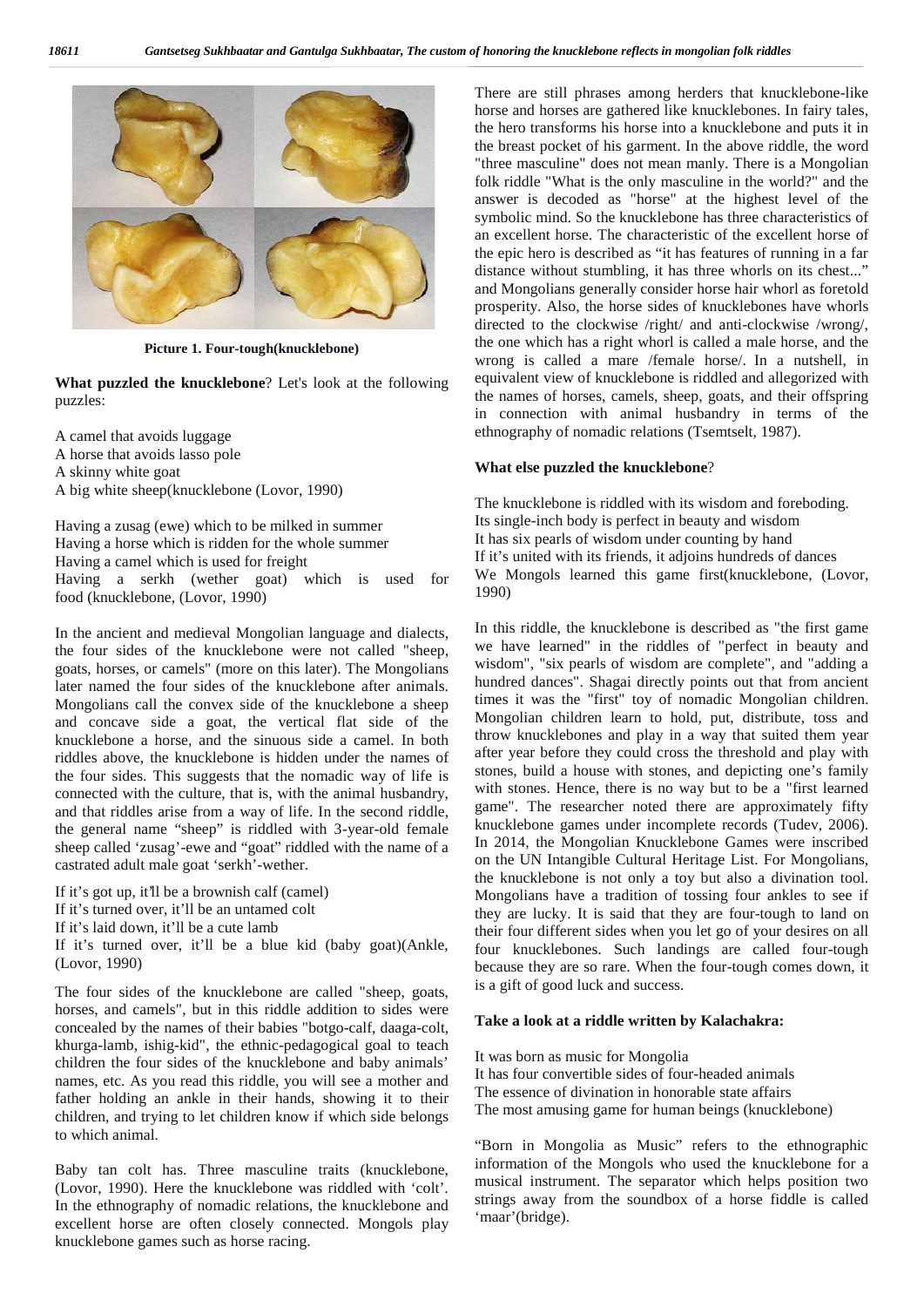

**Picture 1. Four-tough(knucklebone)**

**What puzzled the knucklebone**? Let's look at the following puzzles:

A camel that avoids luggage A horse that avoids lasso pole A skinny white goat A big white sheep(knucklebone (Lovor, 1990)

Having a zusag (ewe) which to be milked in summer Having a horse which is ridden for the whole summer Having a camel which is used for freight Having a serkh (wether goat) which is used for food (knucklebone, (Lovor, 1990)

In the ancient and medieval Mongolian language and dialects, the four sides of the knucklebone were not called "sheep, goats, horses, or camels" (more on this later). The Mongolians later named the four sides of the knucklebone after animals. Mongolians call the convex side of the knucklebone a sheep and concave side a goat, the vertical flat side of the knucklebone a horse, and the sinuous side a camel. In both riddles above, the knucklebone is hidden under the names of the four sides. This suggests that the nomadic way of life is connected with the culture, that is, with the animal husbandry, and that riddles arise from a way of life. In the second riddle, the general name "sheep" is riddled with 3-year-old female sheep called 'zusag'-ewe and "goat" riddled with the name of a castrated adult male goat 'serkh'-wether.

If it's got up, it'll be a brownish calf (camel) If it's turned over, it'll be an untamed colt If it's laid down, it'll be a cute lamb If it's turned over, it'll be a blue kid (baby goat)(Ankle, (Lovor, 1990)

The four sides of the knucklebone are called "sheep, goats, horses, and camels", but in this riddle addition to sides were concealed by the names of their babies "botgo-calf, daaga-colt, khurga-lamb, ishig-kid", the ethnic-pedagogical goal to teach children the four sides of the knucklebone and baby animals' names, etc. As you read this riddle, you will see a mother and father holding an ankle in their hands, showing it to their children, and trying to let children know if which side belongs to which animal.

Baby tan colt has. Three masculine traits (knucklebone, (Lovor, 1990). Here the knucklebone was riddled with 'colt'. In the ethnography of nomadic relations, the knucklebone and excellent horse are often closely connected. Mongols play knucklebone games such as horse racing.

There are still phrases among herders that knucklebone-like horse and horses are gathered like knucklebones. In fairy tales, the hero transforms his horse into a knucklebone and puts it in the breast pocket of his garment. In the above riddle, the word "three masculine" does not mean manly. There is a Mongolian folk riddle "What is the only masculine in the world?" and the answer is decoded as "horse" at the highest level of the symbolic mind. So the knucklebone has three characteristics of an excellent horse. The characteristic of the excellent horse of the epic hero is described as "it has features of running in a far distance without stumbling, it has three whorls on its chest..." and Mongolians generally consider horse hair whorl as foretold prosperity. Also, the horse sides of knucklebones have whorls directed to the clockwise /right/ and anti-clockwise /wrong/, the one which has a right whorl is called a male horse, and the wrong is called a mare /female horse/. In a nutshell, in equivalent view of knucklebone is riddled and allegorized with the names of horses, camels, sheep, goats, and their offspring in connection with animal husbandry in terms of the ethnography of nomadic relations (Tsemtselt, 1987).

#### **What else puzzled the knucklebone**?

The knucklebone is riddled with its wisdom and foreboding. Its single-inch body is perfect in beauty and wisdom It has six pearls of wisdom under counting by hand If it's united with its friends, it adjoins hundreds of dances We Mongols learned this game first(knucklebone, (Lovor, 1990)

In this riddle, the knucklebone is described as "the first game we have learned" in the riddles of "perfect in beauty and wisdom", "six pearls of wisdom are complete", and "adding a hundred dances". Shagai directly points out that from ancient times it was the "first" toy of nomadic Mongolian children. Mongolian children learn to hold, put, distribute, toss and throw knucklebones and play in a way that suited them year after year before they could cross the threshold and play with stones, build a house with stones, and depicting one's family with stones. Hence, there is no way but to be a "first learned game". The researcher noted there are approximately fifty knucklebone games under incomplete records (Tudev, 2006). In 2014, the Mongolian Knucklebone Games were inscribed on the UN Intangible Cultural Heritage List. For Mongolians, the knucklebone is not only a toy but also a divination tool. Mongolians have a tradition of tossing four ankles to see if they are lucky. It is said that they are four-tough to land on their four different sides when you let go of your desires on all four knucklebones. Such landings are called four-tough because they are so rare. When the four-tough comes down, it is a gift of good luck and success.

#### **Take a look at a riddle written by Kalachakra:**

It was born as music for Mongolia It has four convertible sides of four-headed animals The essence of divination in honorable state affairs The most amusing game for human beings (knucklebone)

"Born in Mongolia as Music" refers to the ethnographic information of the Mongols who used the knucklebone for a musical instrument. The separator which helps position two strings away from the soundbox of a horse fiddle is called 'maar'(bridge).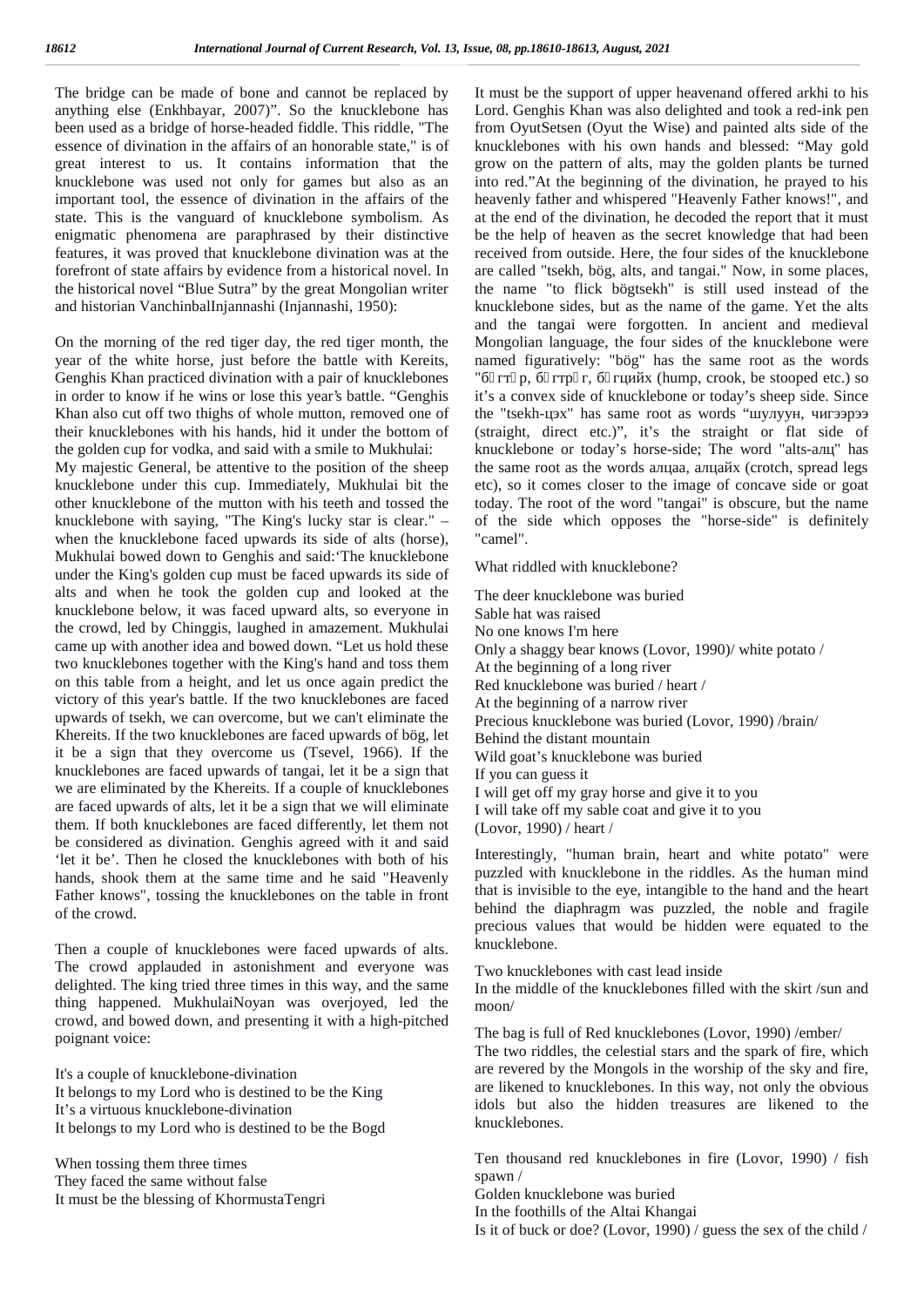The bridge can be made of bone and cannot be replaced by anything else (Enkhbayar, 2007)". So the knucklebone has been used as a bridge of horse-headed fiddle. This riddle, "The essence of divination in the affairs of an honorable state," is of great interest to us. It contains information that the knucklebone was used not only for games but also as an important tool, the essence of divination in the affairs of the state. This is the vanguard of knucklebone symbolism. As enigmatic phenomena are paraphrased by their distinctive features, it was proved that knucklebone divination was at the forefront of state affairs by evidence from a historical novel. In the historical novel "Blue Sutra" by the great Mongolian writer and historian VanchinbalInjannashi (Injannashi, 1950):

On the morning of the red tiger day, the red tiger month, the year of the white horse, just before the battle with Kereits, Genghis Khan practiced divination with a pair of knucklebones in order to know if he wins or lose this year's battle. "Genghis Khan also cut off two thighs of whole mutton, removed one of their knucklebones with his hands, hid it under the bottom of the golden cup for vodka, and said with a smile to Mukhulai:

My majestic General, be attentive to the position of the sheep knucklebone under this cup. Immediately, Mukhulai bit the other knucklebone of the mutton with his teeth and tossed the knucklebone with saying, "The King's lucky star is clear." – when the knucklebone faced upwards its side of alts (horse), Mukhulai bowed down to Genghis and said:'The knucklebone under the King's golden cup must be faced upwards its side of alts and when he took the golden cup and looked at the knucklebone below, it was faced upward alts, so everyone in the crowd, led by Chinggis, laughed in amazement. Mukhulai came up with another idea and bowed down. "Let us hold these two knucklebones together with the King's hand and toss them on this table from a height, and let us once again predict the victory of this year's battle. If the two knucklebones are faced upwards of tsekh, we can overcome, but we can't eliminate the Khereits. If the two knucklebones are faced upwards of bög, let it be a sign that they overcome us (Tsevel, 1966). If the knucklebones are faced upwards of tangai, let it be a sign that we are eliminated by the Khereits. If a couple of knucklebones are faced upwards of alts, let it be a sign that we will eliminate them. If both knucklebones are faced differently, let them not be considered as divination. Genghis agreed with it and said 'let it be'. Then he closed the knucklebones with both of his hands, shook them at the same time and he said "Heavenly Father knows", tossing the knucklebones on the table in front of the crowd.

Then a couple of knucklebones were faced upwards of alts. The crowd applauded in astonishment and everyone was delighted. The king tried three times in this way, and the same thing happened. MukhulaiNoyan was overjoyed, led the crowd, and bowed down, and presenting it with a high-pitched poignant voice:

It's a couple of knucklebone-divination It belongs to my Lord who is destined to be the King It's a virtuous knucklebone-divination It belongs to my Lord who is destined to be the Bogd

When tossing them three times They faced the same without false It must be the blessing of KhormustaTengri It must be the support of upper heavenand offered arkhi to his Lord. Genghis Khan was also delighted and took a red-ink pen from OyutSetsen (Oyut the Wise) and painted alts side of the knucklebones with his own hands and blessed: "May gold grow on the pattern of alts, may the golden plants be turned into red."At the beginning of the divination, he prayed to his heavenly father and whispered "Heavenly Father knows!", and at the end of the divination, he decoded the report that it must be the help of heaven as the secret knowledge that had been received from outside. Here, the four sides of the knucklebone are called "tsekh, bög, alts, and tangai." Now, in some places, the name "to flick bögtsekh" is still used instead of the knucklebone sides, but as the name of the game. Yet the alts and the tangai were forgotten. In ancient and medieval Mongolian language, the four sides of the knucklebone were named figuratively: "bög" has the same root as the words (hump, crook, be stooped etc.) so it's a convex side of knucklebone or today's sheep side. Since the "tsekh-use" has same root as words " (straight, direct etc.)", it's the straight or flat side of knucklebone or today's horse-side; The word "alts-" has the same root as the words a factor (crotch, spread legs etc), so it comes closer to the image of concave side or goat today. The root of the word "tangai" is obscure, but the name of the side which opposes the "horse-side" is definitely "camel".

What riddled with knucklebone?

The deer knucklebone was buried Sable hat was raised No one knows I'm here Only a shaggy bear knows (Lovor, 1990)/ white potato / At the beginning of a long river Red knucklebone was buried / heart / At the beginning of a narrow river Precious knucklebone was buried (Lovor, 1990) /brain/ Behind the distant mountain Wild goat's knucklebone was buried If you can guess it I will get off my gray horse and give it to you I will take off my sable coat and give it to you (Lovor, 1990) / heart /

Interestingly, "human brain, heart and white potato" were puzzled with knucklebone in the riddles. As the human mind that is invisible to the eye, intangible to the hand and the heart behind the diaphragm was puzzled, the noble and fragile precious values that would be hidden were equated to the knucklebone.

Two knucklebones with cast lead inside In the middle of the knucklebones filled with the skirt /sun and moon/

The bag is full of Red knucklebones (Lovor, 1990) /ember/

The two riddles, the celestial stars and the spark of fire, which are revered by the Mongols in the worship of the sky and fire, are likened to knucklebones. In this way, not only the obvious idols but also the hidden treasures are likened to the knucklebones.

Ten thousand red knucklebones in fire (Lovor, 1990) / fish spawn /

Golden knucklebone was buried

In the foothills of the Altai Khangai

Is it of buck or doe? (Lovor, 1990) / guess the sex of the child /